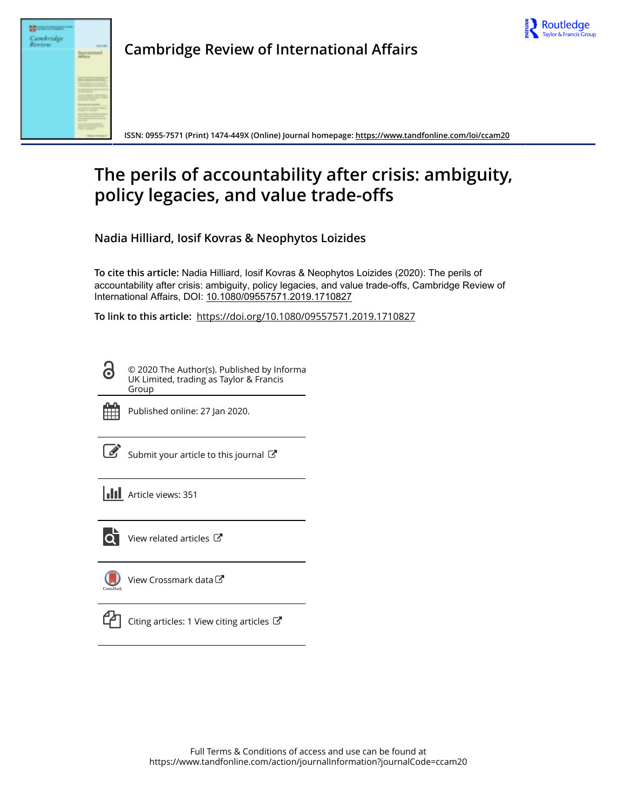



**Cambridge Review of International Affairs**

**ISSN: 0955-7571 (Print) 1474-449X (Online) Journal homepage: <https://www.tandfonline.com/loi/ccam20>**

# **The perils of accountability after crisis: ambiguity, policy legacies, and value trade-offs**

**Nadia Hilliard, Iosif Kovras & Neophytos Loizides**

**To cite this article:** Nadia Hilliard, Iosif Kovras & Neophytos Loizides (2020): The perils of accountability after crisis: ambiguity, policy legacies, and value trade-offs, Cambridge Review of International Affairs, DOI: [10.1080/09557571.2019.1710827](https://www.tandfonline.com/action/showCitFormats?doi=10.1080/09557571.2019.1710827)

**To link to this article:** <https://doi.org/10.1080/09557571.2019.1710827>

© 2020 The Author(s). Published by Informa UK Limited, trading as Taylor & Francis Group



Published online: 27 Jan 2020.

[Submit your article to this journal](https://www.tandfonline.com/action/authorSubmission?journalCode=ccam20&show=instructions)  $\mathbb{Z}$ 

**Article views: 351** 



 $\overline{Q}$  [View related articles](https://www.tandfonline.com/doi/mlt/10.1080/09557571.2019.1710827)  $\overline{C}$ 

[View Crossmark data](http://crossmark.crossref.org/dialog/?doi=10.1080/09557571.2019.1710827&domain=pdf&date_stamp=2020-01-27)<sup>C</sup>



 $\Box$  [Citing articles: 1 View citing articles](https://www.tandfonline.com/doi/citedby/10.1080/09557571.2019.1710827#tabModule)  $\Box$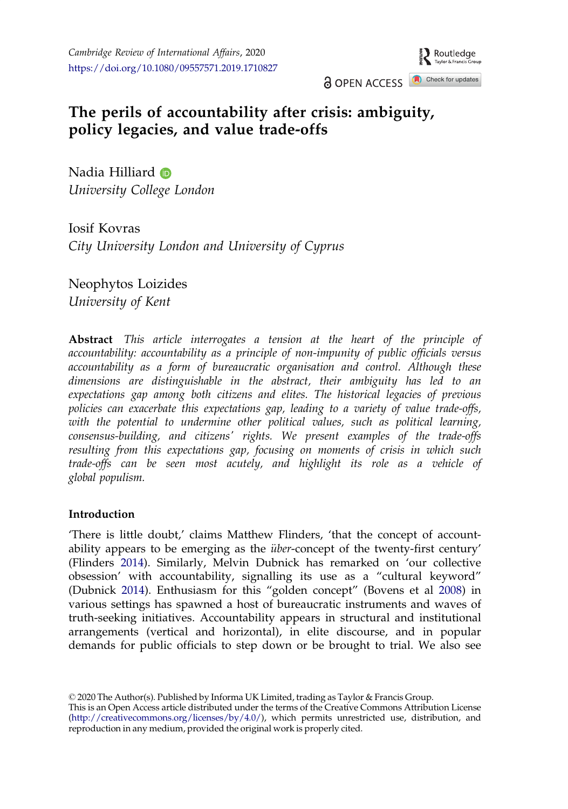Routledge Taylor & Francis

**a** OPEN ACCESS **a** Check for updates

## <span id="page-1-0"></span>The perils of accountability after crisis: ambiguity, policy legacies, and value trade-offs

Nadia Hilliard **D** University College London

Iosif Kovras City University London and University of Cyprus

Neophytos Loizides University of Kent

Abstract This article interrogates a tension at the heart of the principle of accountability: accountability as a principle of non-impunity of public officials versus accountability as a form of bureaucratic organisation and control. Although these dimensions are distinguishable in the abstract, their ambiguity has led to an expectations gap among both citizens and elites. The historical legacies of previous policies can exacerbate this expectations gap, leading to a variety of value trade-offs, with the potential to undermine other political values, such as political learning, consensus-building, and citizens' rights. We present examples of the trade-offs resulting from this expectations gap, focusing on moments of crisis in which such trade-offs can be seen most acutely, and highlight its role as a vehicle of global populism.

## Introduction

'There is little doubt,' claims Matthew Flinders, 'that the concept of accountability appears to be emerging as the *über*-concept of the twenty-first century' (Flinders [2014\)](#page-18-0). Similarly, Melvin Dubnick has remarked on 'our collective obsession' with accountability, signalling its use as a "cultural keyword" (Dubnick [2014\)](#page-18-0). Enthusiasm for this "golden concept" (Bovens et al [2008](#page-18-0)) in various settings has spawned a host of bureaucratic instruments and waves of truth-seeking initiatives. Accountability appears in structural and institutional arrangements (vertical and horizontal), in elite discourse, and in popular demands for public officials to step down or be brought to trial. We also see

2020 The Author(s). Published by Informa UK Limited, trading as Taylor & Francis Group.

This is an Open Access article distributed under the terms of the Creative Commons Attribution License [\(http://creativecommons.org/licenses/by/4.0/\)](http://creativecommons.org/licenses/by/4.0/), which permits unrestricted use, distribution, and reproduction in any medium, provided the original work is properly cited.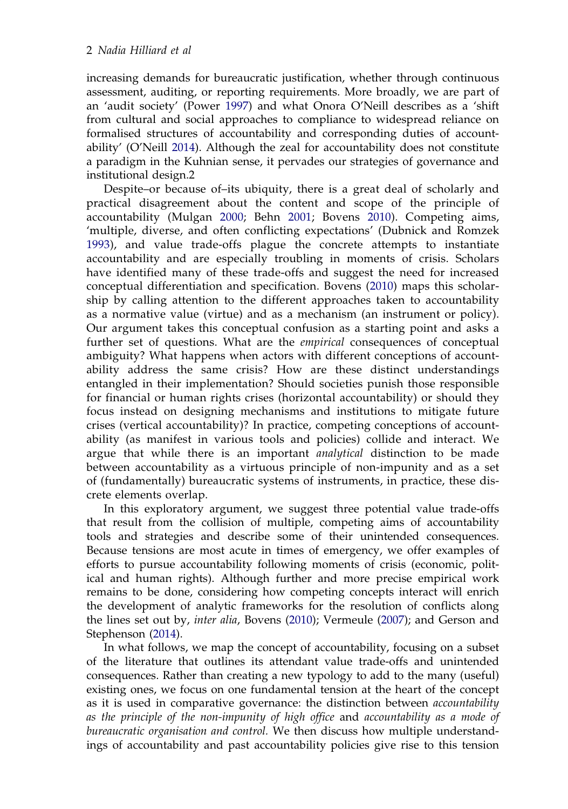<span id="page-2-0"></span>increasing demands for bureaucratic justification, whether through continuous assessment, auditing, or reporting requirements. More broadly, we are part of an 'audit society' (Power [1997\)](#page-19-0) and what Onora O'Neill describes as a 'shift from cultural and social approaches to compliance to widespread reliance on formalised structures of accountability and corresponding duties of accountability' (O'Neill [2014](#page-19-0)). Although the zeal for accountability does not constitute a paradigm in the Kuhnian sense, it pervades our strategies of governance and institutional design.2

Despite–or because of–its ubiquity, there is a great deal of scholarly and practical disagreement about the content and scope of the principle of accountability (Mulgan [2000;](#page-19-0) Behn [2001;](#page-18-0) Bovens [2010\)](#page-18-0). Competing aims, 'multiple, diverse, and often conflicting expectations' (Dubnick and Romzek [1993\)](#page-18-0), and value trade-offs plague the concrete attempts to instantiate accountability and are especially troubling in moments of crisis. Scholars have identified many of these trade-offs and suggest the need for increased conceptual differentiation and specification. Bovens [\(2010\)](#page-18-0) maps this scholarship by calling attention to the different approaches taken to accountability as a normative value (virtue) and as a mechanism (an instrument or policy). Our argument takes this conceptual confusion as a starting point and asks a further set of questions. What are the *empirical* consequences of conceptual ambiguity? What happens when actors with different conceptions of accountability address the same crisis? How are these distinct understandings entangled in their implementation? Should societies punish those responsible for financial or human rights crises (horizontal accountability) or should they focus instead on designing mechanisms and institutions to mitigate future crises (vertical accountability)? In practice, competing conceptions of accountability (as manifest in various tools and policies) collide and interact. We argue that while there is an important *analytical* distinction to be made between accountability as a virtuous principle of non-impunity and as a set of (fundamentally) bureaucratic systems of instruments, in practice, these discrete elements overlap.

In this exploratory argument, we suggest three potential value trade-offs that result from the collision of multiple, competing aims of accountability tools and strategies and describe some of their unintended consequences. Because tensions are most acute in times of emergency, we offer examples of efforts to pursue accountability following moments of crisis (economic, political and human rights). Although further and more precise empirical work remains to be done, considering how competing concepts interact will enrich the development of analytic frameworks for the resolution of conflicts along the lines set out by, inter alia, Bovens [\(2010](#page-18-0)); Vermeule [\(2007](#page-20-0)); and Gerson and Stephenson [\(2014](#page-18-0)).

In what follows, we map the concept of accountability, focusing on a subset of the literature that outlines its attendant value trade-offs and unintended consequences. Rather than creating a new typology to add to the many (useful) existing ones, we focus on one fundamental tension at the heart of the concept as it is used in comparative governance: the distinction between accountability as the principle of the non-impunity of high office and accountability as a mode of bureaucratic organisation and control. We then discuss how multiple understandings of accountability and past accountability policies give rise to this tension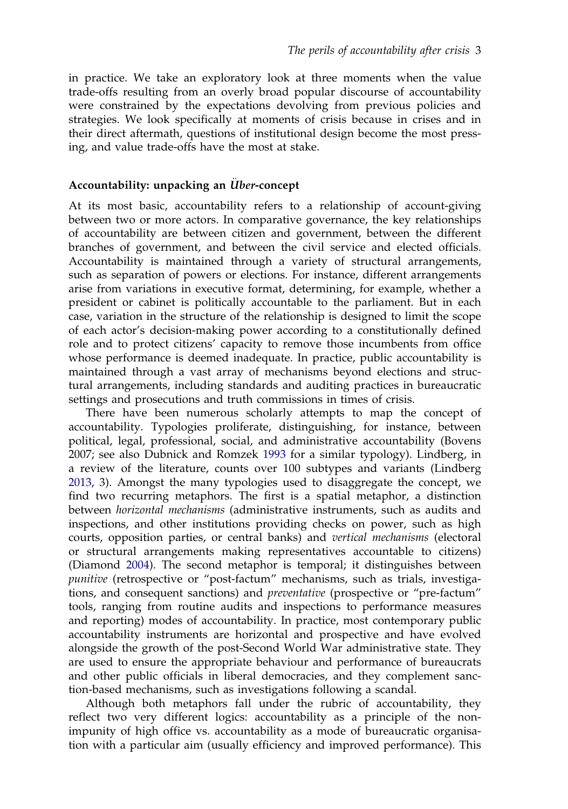<span id="page-3-0"></span>in practice. We take an exploratory look at three moments when the value trade-offs resulting from an overly broad popular discourse of accountability were constrained by the expectations devolving from previous policies and strategies. We look specifically at moments of crisis because in crises and in their direct aftermath, questions of institutional design become the most pressing, and value trade-offs have the most at stake.

#### Accountability: unpacking an Uber-concept

At its most basic, accountability refers to a relationship of account-giving between two or more actors. In comparative governance, the key relationships of accountability are between citizen and government, between the different branches of government, and between the civil service and elected officials. Accountability is maintained through a variety of structural arrangements, such as separation of powers or elections. For instance, different arrangements arise from variations in executive format, determining, for example, whether a president or cabinet is politically accountable to the parliament. But in each case, variation in the structure of the relationship is designed to limit the scope of each actor's decision-making power according to a constitutionally defined role and to protect citizens' capacity to remove those incumbents from office whose performance is deemed inadequate. In practice, public accountability is maintained through a vast array of mechanisms beyond elections and structural arrangements, including standards and auditing practices in bureaucratic settings and prosecutions and truth commissions in times of crisis.

There have been numerous scholarly attempts to map the concept of accountability. Typologies proliferate, distinguishing, for instance, between political, legal, professional, social, and administrative accountability (Bovens 2007; see also Dubnick and Romzek [1993](#page-18-0) for a similar typology). Lindberg, in a review of the literature, counts over 100 subtypes and variants (Lindberg [2013,](#page-19-0) 3). Amongst the many typologies used to disaggregate the concept, we find two recurring metaphors. The first is a spatial metaphor, a distinction between horizontal mechanisms (administrative instruments, such as audits and inspections, and other institutions providing checks on power, such as high courts, opposition parties, or central banks) and vertical mechanisms (electoral or structural arrangements making representatives accountable to citizens) (Diamond [2004\)](#page-18-0). The second metaphor is temporal; it distinguishes between punitive (retrospective or "post-factum" mechanisms, such as trials, investigations, and consequent sanctions) and *preventative* (prospective or "pre-factum" tools, ranging from routine audits and inspections to performance measures and reporting) modes of accountability. In practice, most contemporary public accountability instruments are horizontal and prospective and have evolved alongside the growth of the post-Second World War administrative state. They are used to ensure the appropriate behaviour and performance of bureaucrats and other public officials in liberal democracies, and they complement sanction-based mechanisms, such as investigations following a scandal.

Although both metaphors fall under the rubric of accountability, they reflect two very different logics: accountability as a principle of the nonimpunity of high office vs. accountability as a mode of bureaucratic organisation with a particular aim (usually efficiency and improved performance). This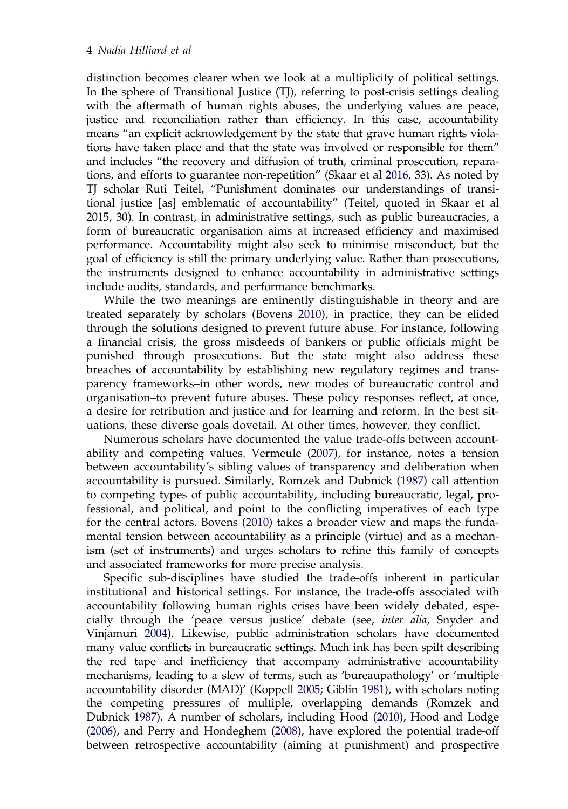<span id="page-4-0"></span>distinction becomes clearer when we look at a multiplicity of political settings. In the sphere of Transitional Justice (TJ), referring to post-crisis settings dealing with the aftermath of human rights abuses, the underlying values are peace, justice and reconciliation rather than efficiency. In this case, accountability means "an explicit acknowledgement by the state that grave human rights violations have taken place and that the state was involved or responsible for them" and includes "the recovery and diffusion of truth, criminal prosecution, reparations, and efforts to guarantee non-repetition" (Skaar et al [2016,](#page-20-0) 33). As noted by TJ scholar Ruti Teitel, "Punishment dominates our understandings of transitional justice [as] emblematic of accountability" (Teitel, quoted in Skaar et al 2015, 30). In contrast, in administrative settings, such as public bureaucracies, a form of bureaucratic organisation aims at increased efficiency and maximised performance. Accountability might also seek to minimise misconduct, but the goal of efficiency is still the primary underlying value. Rather than prosecutions, the instruments designed to enhance accountability in administrative settings include audits, standards, and performance benchmarks.

While the two meanings are eminently distinguishable in theory and are treated separately by scholars (Bovens [2010](#page-18-0)), in practice, they can be elided through the solutions designed to prevent future abuse. For instance, following a financial crisis, the gross misdeeds of bankers or public officials might be punished through prosecutions. But the state might also address these breaches of accountability by establishing new regulatory regimes and transparency frameworks–in other words, new modes of bureaucratic control and organisation–to prevent future abuses. These policy responses reflect, at once, a desire for retribution and justice and for learning and reform. In the best situations, these diverse goals dovetail. At other times, however, they conflict.

Numerous scholars have documented the value trade-offs between accountability and competing values. Vermeule [\(2007](#page-20-0)), for instance, notes a tension between accountability's sibling values of transparency and deliberation when accountability is pursued. Similarly, Romzek and Dubnick [\(1987\)](#page-19-0) call attention to competing types of public accountability, including bureaucratic, legal, professional, and political, and point to the conflicting imperatives of each type for the central actors. Bovens ([2010\)](#page-18-0) takes a broader view and maps the fundamental tension between accountability as a principle (virtue) and as a mechanism (set of instruments) and urges scholars to refine this family of concepts and associated frameworks for more precise analysis.

Specific sub-disciplines have studied the trade-offs inherent in particular institutional and historical settings. For instance, the trade-offs associated with accountability following human rights crises have been widely debated, especially through the 'peace versus justice' debate (see, inter alia, Snyder and Vinjamuri [2004](#page-20-0)). Likewise, public administration scholars have documented many value conflicts in bureaucratic settings. Much ink has been spilt describing the red tape and inefficiency that accompany administrative accountability mechanisms, leading to a slew of terms, such as 'bureaupathology' or 'multiple accountability disorder (MAD)' (Koppell [2005](#page-19-0); Giblin [1981](#page-18-0)), with scholars noting the competing pressures of multiple, overlapping demands (Romzek and Dubnick [1987](#page-19-0)). A number of scholars, including Hood [\(2010](#page-18-0)), Hood and Lodge [\(2006\)](#page-18-0), and Perry and Hondeghem [\(2008\)](#page-19-0), have explored the potential trade-off between retrospective accountability (aiming at punishment) and prospective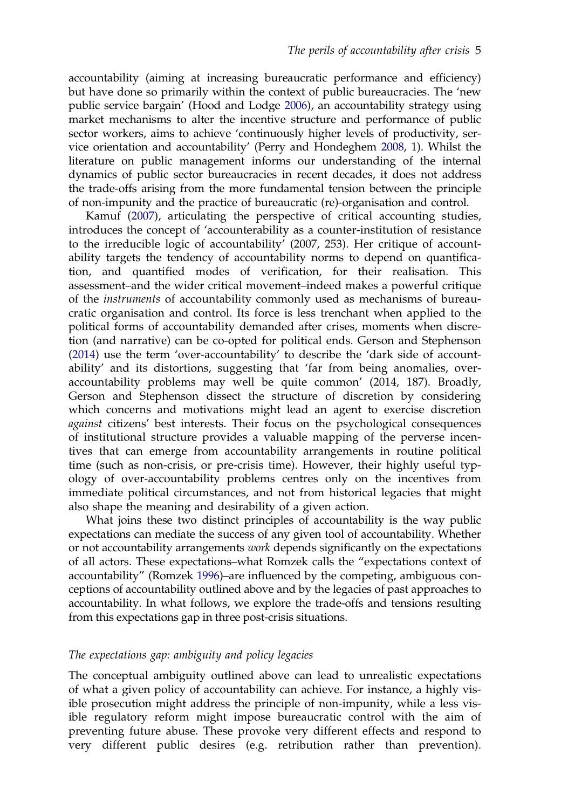<span id="page-5-0"></span>accountability (aiming at increasing bureaucratic performance and efficiency) but have done so primarily within the context of public bureaucracies. The 'new public service bargain' (Hood and Lodge [2006\)](#page-18-0), an accountability strategy using market mechanisms to alter the incentive structure and performance of public sector workers, aims to achieve 'continuously higher levels of productivity, service orientation and accountability' (Perry and Hondeghem [2008,](#page-19-0) 1). Whilst the literature on public management informs our understanding of the internal dynamics of public sector bureaucracies in recent decades, it does not address the trade-offs arising from the more fundamental tension between the principle of non-impunity and the practice of bureaucratic (re)-organisation and control.

Kamuf [\(2007](#page-18-0)), articulating the perspective of critical accounting studies, introduces the concept of 'accounterability as a counter-institution of resistance to the irreducible logic of accountability' (2007, 253). Her critique of accountability targets the tendency of accountability norms to depend on quantification, and quantified modes of verification, for their realisation. This assessment–and the wider critical movement–indeed makes a powerful critique of the instruments of accountability commonly used as mechanisms of bureaucratic organisation and control. Its force is less trenchant when applied to the political forms of accountability demanded after crises, moments when discretion (and narrative) can be co-opted for political ends. Gerson and Stephenson ([2014\)](#page-18-0) use the term 'over-accountability' to describe the 'dark side of accountability' and its distortions, suggesting that 'far from being anomalies, overaccountability problems may well be quite common' (2014, 187). Broadly, Gerson and Stephenson dissect the structure of discretion by considering which concerns and motivations might lead an agent to exercise discretion against citizens' best interests. Their focus on the psychological consequences of institutional structure provides a valuable mapping of the perverse incentives that can emerge from accountability arrangements in routine political time (such as non-crisis, or pre-crisis time). However, their highly useful typology of over-accountability problems centres only on the incentives from immediate political circumstances, and not from historical legacies that might also shape the meaning and desirability of a given action.

What joins these two distinct principles of accountability is the way public expectations can mediate the success of any given tool of accountability. Whether or not accountability arrangements *work* depends significantly on the expectations of all actors. These expectations–what Romzek calls the "expectations context of accountability" (Romzek [1996\)](#page-19-0)–are influenced by the competing, ambiguous conceptions of accountability outlined above and by the legacies of past approaches to accountability. In what follows, we explore the trade-offs and tensions resulting from this expectations gap in three post-crisis situations.

#### The expectations gap: ambiguity and policy legacies

The conceptual ambiguity outlined above can lead to unrealistic expectations of what a given policy of accountability can achieve. For instance, a highly visible prosecution might address the principle of non-impunity, while a less visible regulatory reform might impose bureaucratic control with the aim of preventing future abuse. These provoke very different effects and respond to very different public desires (e.g. retribution rather than prevention).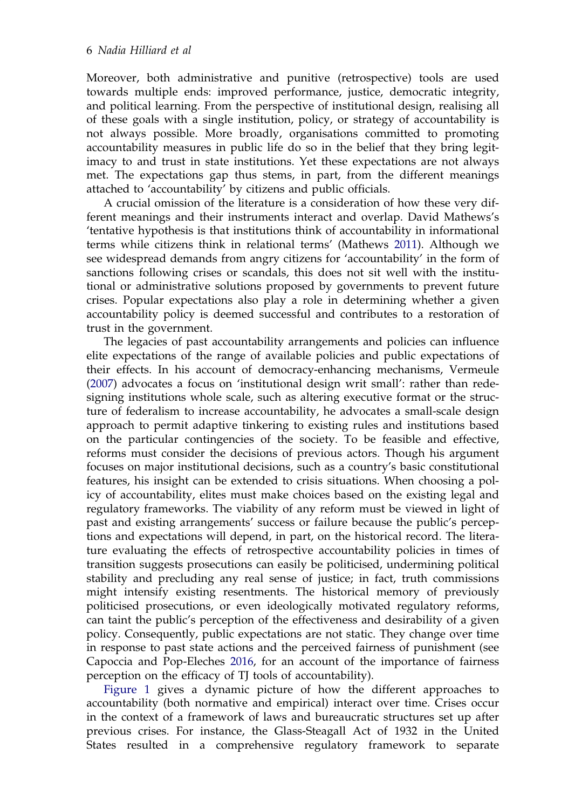<span id="page-6-0"></span>Moreover, both administrative and punitive (retrospective) tools are used towards multiple ends: improved performance, justice, democratic integrity, and political learning. From the perspective of institutional design, realising all of these goals with a single institution, policy, or strategy of accountability is not always possible. More broadly, organisations committed to promoting accountability measures in public life do so in the belief that they bring legitimacy to and trust in state institutions. Yet these expectations are not always met. The expectations gap thus stems, in part, from the different meanings attached to 'accountability' by citizens and public officials.

A crucial omission of the literature is a consideration of how these very different meanings and their instruments interact and overlap. David Mathews's 'tentative hypothesis is that institutions think of accountability in informational terms while citizens think in relational terms' (Mathews [2011\)](#page-19-0). Although we see widespread demands from angry citizens for 'accountability' in the form of sanctions following crises or scandals, this does not sit well with the institutional or administrative solutions proposed by governments to prevent future crises. Popular expectations also play a role in determining whether a given accountability policy is deemed successful and contributes to a restoration of trust in the government.

The legacies of past accountability arrangements and policies can influence elite expectations of the range of available policies and public expectations of their effects. In his account of democracy-enhancing mechanisms, Vermeule [\(2007](#page-20-0)) advocates a focus on 'institutional design writ small': rather than redesigning institutions whole scale, such as altering executive format or the structure of federalism to increase accountability, he advocates a small-scale design approach to permit adaptive tinkering to existing rules and institutions based on the particular contingencies of the society. To be feasible and effective, reforms must consider the decisions of previous actors. Though his argument focuses on major institutional decisions, such as a country's basic constitutional features, his insight can be extended to crisis situations. When choosing a policy of accountability, elites must make choices based on the existing legal and regulatory frameworks. The viability of any reform must be viewed in light of past and existing arrangements' success or failure because the public's perceptions and expectations will depend, in part, on the historical record. The literature evaluating the effects of retrospective accountability policies in times of transition suggests prosecutions can easily be politicised, undermining political stability and precluding any real sense of justice; in fact, truth commissions might intensify existing resentments. The historical memory of previously politicised prosecutions, or even ideologically motivated regulatory reforms, can taint the public's perception of the effectiveness and desirability of a given policy. Consequently, public expectations are not static. They change over time in response to past state actions and the perceived fairness of punishment (see Capoccia and Pop-Eleches [2016](#page-18-0), for an account of the importance of fairness perception on the efficacy of TJ tools of accountability).

[Figure 1](#page-7-0) gives a dynamic picture of how the different approaches to accountability (both normative and empirical) interact over time. Crises occur in the context of a framework of laws and bureaucratic structures set up after previous crises. For instance, the Glass-Steagall Act of 1932 in the United States resulted in a comprehensive regulatory framework to separate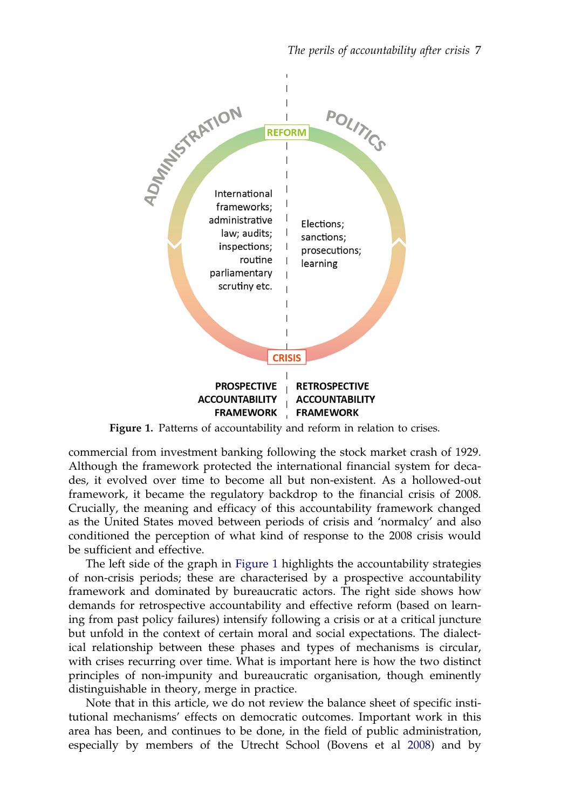<span id="page-7-0"></span>

Figure 1. Patterns of accountability and reform in relation to crises.

commercial from investment banking following the stock market crash of 1929. Although the framework protected the international financial system for decades, it evolved over time to become all but non-existent. As a hollowed-out framework, it became the regulatory backdrop to the financial crisis of 2008. Crucially, the meaning and efficacy of this accountability framework changed as the United States moved between periods of crisis and 'normalcy' and also conditioned the perception of what kind of response to the 2008 crisis would be sufficient and effective.

The left side of the graph in Figure 1 highlights the accountability strategies of non-crisis periods; these are characterised by a prospective accountability framework and dominated by bureaucratic actors. The right side shows how demands for retrospective accountability and effective reform (based on learning from past policy failures) intensify following a crisis or at a critical juncture but unfold in the context of certain moral and social expectations. The dialectical relationship between these phases and types of mechanisms is circular, with crises recurring over time. What is important here is how the two distinct principles of non-impunity and bureaucratic organisation, though eminently distinguishable in theory, merge in practice.

Note that in this article, we do not review the balance sheet of specific institutional mechanisms' effects on democratic outcomes. Important work in this area has been, and continues to be done, in the field of public administration, especially by members of the Utrecht School (Bovens et al [2008](#page-18-0)) and by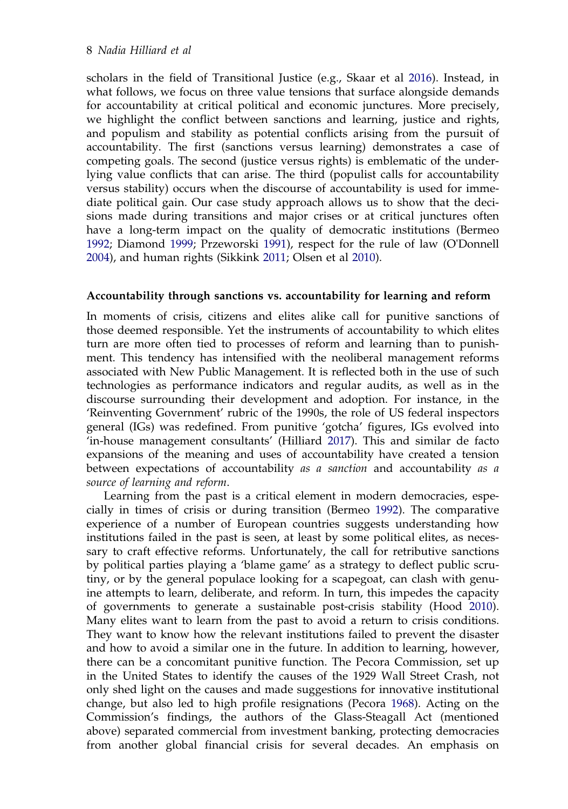<span id="page-8-0"></span>scholars in the field of Transitional Justice (e.g., Skaar et al [2016](#page-20-0)). Instead, in what follows, we focus on three value tensions that surface alongside demands for accountability at critical political and economic junctures. More precisely, we highlight the conflict between sanctions and learning, justice and rights, and populism and stability as potential conflicts arising from the pursuit of accountability. The first (sanctions versus learning) demonstrates a case of competing goals. The second (justice versus rights) is emblematic of the underlying value conflicts that can arise. The third (populist calls for accountability versus stability) occurs when the discourse of accountability is used for immediate political gain. Our case study approach allows us to show that the decisions made during transitions and major crises or at critical junctures often have a long-term impact on the quality of democratic institutions (Bermeo [1992](#page-18-0); Diamond [1999;](#page-18-0) Przeworski [1991\)](#page-19-0), respect for the rule of law (O'Donnell [2004](#page-19-0)), and human rights (Sikkink [2011;](#page-20-0) Olsen et al [2010](#page-19-0)).

#### Accountability through sanctions vs. accountability for learning and reform

In moments of crisis, citizens and elites alike call for punitive sanctions of those deemed responsible. Yet the instruments of accountability to which elites turn are more often tied to processes of reform and learning than to punishment. This tendency has intensified with the neoliberal management reforms associated with New Public Management. It is reflected both in the use of such technologies as performance indicators and regular audits, as well as in the discourse surrounding their development and adoption. For instance, in the 'Reinventing Government' rubric of the 1990s, the role of US federal inspectors general (IGs) was redefined. From punitive 'gotcha' figures, IGs evolved into 'in-house management consultants' (Hilliard [2017\)](#page-18-0). This and similar de facto expansions of the meaning and uses of accountability have created a tension between expectations of accountability as a sanction and accountability as a source of learning and reform.

Learning from the past is a critical element in modern democracies, especially in times of crisis or during transition (Bermeo [1992](#page-18-0)). The comparative experience of a number of European countries suggests understanding how institutions failed in the past is seen, at least by some political elites, as necessary to craft effective reforms. Unfortunately, the call for retributive sanctions by political parties playing a 'blame game' as a strategy to deflect public scrutiny, or by the general populace looking for a scapegoat, can clash with genuine attempts to learn, deliberate, and reform. In turn, this impedes the capacity of governments to generate a sustainable post-crisis stability (Hood [2010\)](#page-18-0). Many elites want to learn from the past to avoid a return to crisis conditions. They want to know how the relevant institutions failed to prevent the disaster and how to avoid a similar one in the future. In addition to learning, however, there can be a concomitant punitive function. The Pecora Commission, set up in the United States to identify the causes of the 1929 Wall Street Crash, not only shed light on the causes and made suggestions for innovative institutional change, but also led to high profile resignations (Pecora [1968\)](#page-19-0). Acting on the Commission's findings, the authors of the Glass-Steagall Act (mentioned above) separated commercial from investment banking, protecting democracies from another global financial crisis for several decades. An emphasis on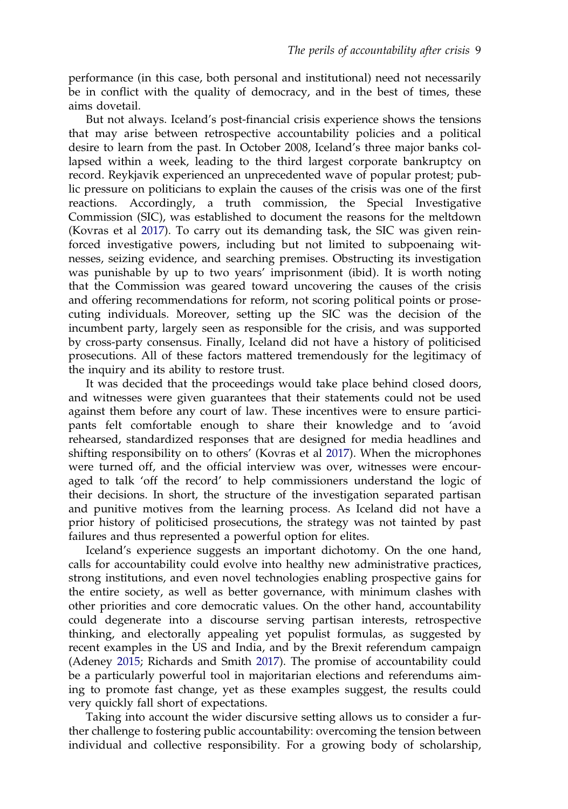<span id="page-9-0"></span>performance (in this case, both personal and institutional) need not necessarily be in conflict with the quality of democracy, and in the best of times, these aims dovetail.

But not always. Iceland's post-financial crisis experience shows the tensions that may arise between retrospective accountability policies and a political desire to learn from the past. In October 2008, Iceland's three major banks collapsed within a week, leading to the third largest corporate bankruptcy on record. Reykjavik experienced an unprecedented wave of popular protest; public pressure on politicians to explain the causes of the crisis was one of the first reactions. Accordingly, a truth commission, the Special Investigative Commission (SIC), was established to document the reasons for the meltdown (Kovras et al [2017\)](#page-19-0). To carry out its demanding task, the SIC was given reinforced investigative powers, including but not limited to subpoenaing witnesses, seizing evidence, and searching premises. Obstructing its investigation was punishable by up to two years' imprisonment (ibid). It is worth noting that the Commission was geared toward uncovering the causes of the crisis and offering recommendations for reform, not scoring political points or prosecuting individuals. Moreover, setting up the SIC was the decision of the incumbent party, largely seen as responsible for the crisis, and was supported by cross-party consensus. Finally, Iceland did not have a history of politicised prosecutions. All of these factors mattered tremendously for the legitimacy of the inquiry and its ability to restore trust.

It was decided that the proceedings would take place behind closed doors, and witnesses were given guarantees that their statements could not be used against them before any court of law. These incentives were to ensure participants felt comfortable enough to share their knowledge and to 'avoid rehearsed, standardized responses that are designed for media headlines and shifting responsibility on to others' (Kovras et al [2017\)](#page-19-0). When the microphones were turned off, and the official interview was over, witnesses were encouraged to talk 'off the record' to help commissioners understand the logic of their decisions. In short, the structure of the investigation separated partisan and punitive motives from the learning process. As Iceland did not have a prior history of politicised prosecutions, the strategy was not tainted by past failures and thus represented a powerful option for elites.

Iceland's experience suggests an important dichotomy. On the one hand, calls for accountability could evolve into healthy new administrative practices, strong institutions, and even novel technologies enabling prospective gains for the entire society, as well as better governance, with minimum clashes with other priorities and core democratic values. On the other hand, accountability could degenerate into a discourse serving partisan interests, retrospective thinking, and electorally appealing yet populist formulas, as suggested by recent examples in the US and India, and by the Brexit referendum campaign (Adeney [2015;](#page-17-0) Richards and Smith [2017\)](#page-19-0). The promise of accountability could be a particularly powerful tool in majoritarian elections and referendums aiming to promote fast change, yet as these examples suggest, the results could very quickly fall short of expectations.

Taking into account the wider discursive setting allows us to consider a further challenge to fostering public accountability: overcoming the tension between individual and collective responsibility. For a growing body of scholarship,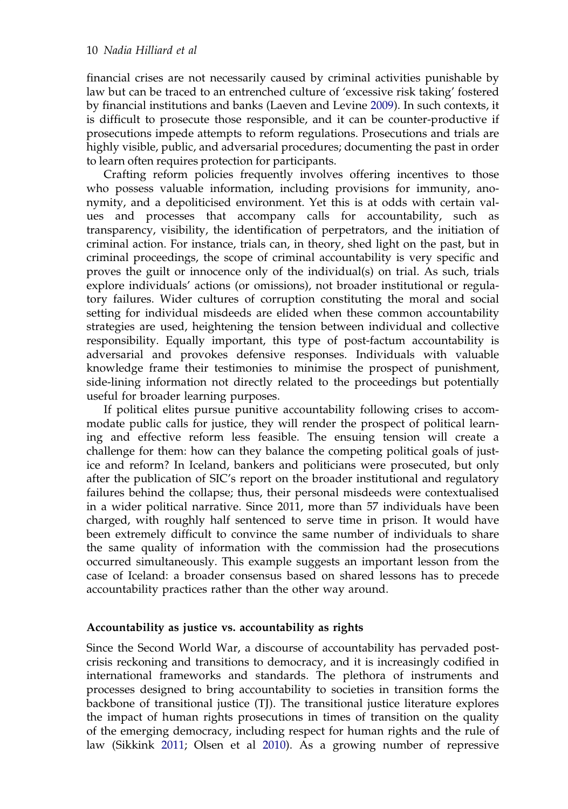<span id="page-10-0"></span>financial crises are not necessarily caused by criminal activities punishable by law but can be traced to an entrenched culture of 'excessive risk taking' fostered by financial institutions and banks (Laeven and Levine [2009](#page-19-0)). In such contexts, it is difficult to prosecute those responsible, and it can be counter-productive if prosecutions impede attempts to reform regulations. Prosecutions and trials are highly visible, public, and adversarial procedures; documenting the past in order to learn often requires protection for participants.

Crafting reform policies frequently involves offering incentives to those who possess valuable information, including provisions for immunity, anonymity, and a depoliticised environment. Yet this is at odds with certain values and processes that accompany calls for accountability, such as transparency, visibility, the identification of perpetrators, and the initiation of criminal action. For instance, trials can, in theory, shed light on the past, but in criminal proceedings, the scope of criminal accountability is very specific and proves the guilt or innocence only of the individual(s) on trial. As such, trials explore individuals' actions (or omissions), not broader institutional or regulatory failures. Wider cultures of corruption constituting the moral and social setting for individual misdeeds are elided when these common accountability strategies are used, heightening the tension between individual and collective responsibility. Equally important, this type of post-factum accountability is adversarial and provokes defensive responses. Individuals with valuable knowledge frame their testimonies to minimise the prospect of punishment, side-lining information not directly related to the proceedings but potentially useful for broader learning purposes.

If political elites pursue punitive accountability following crises to accommodate public calls for justice, they will render the prospect of political learning and effective reform less feasible. The ensuing tension will create a challenge for them: how can they balance the competing political goals of justice and reform? In Iceland, bankers and politicians were prosecuted, but only after the publication of SIC's report on the broader institutional and regulatory failures behind the collapse; thus, their personal misdeeds were contextualised in a wider political narrative. Since 2011, more than 57 individuals have been charged, with roughly half sentenced to serve time in prison. It would have been extremely difficult to convince the same number of individuals to share the same quality of information with the commission had the prosecutions occurred simultaneously. This example suggests an important lesson from the case of Iceland: a broader consensus based on shared lessons has to precede accountability practices rather than the other way around.

## Accountability as justice vs. accountability as rights

Since the Second World War, a discourse of accountability has pervaded postcrisis reckoning and transitions to democracy, and it is increasingly codified in international frameworks and standards. The plethora of instruments and processes designed to bring accountability to societies in transition forms the backbone of transitional justice (TJ). The transitional justice literature explores the impact of human rights prosecutions in times of transition on the quality of the emerging democracy, including respect for human rights and the rule of law (Sikkink [2011](#page-20-0); Olsen et al [2010](#page-19-0)). As a growing number of repressive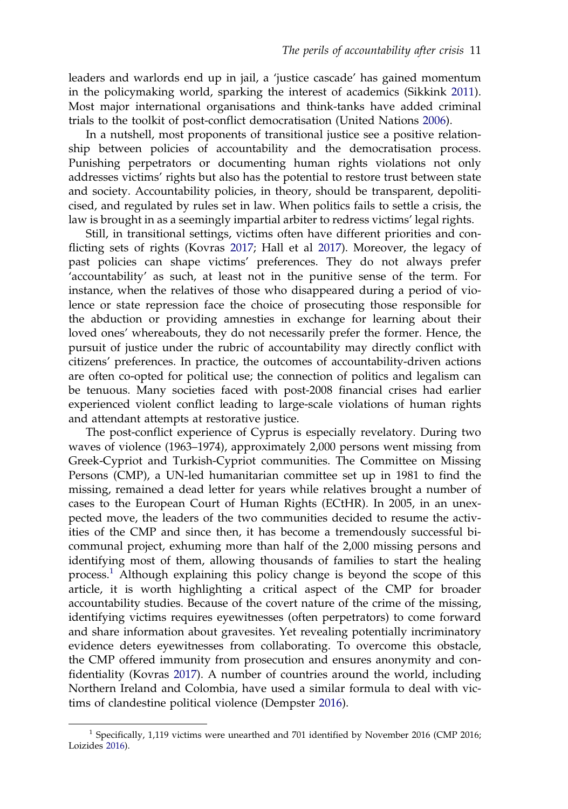<span id="page-11-0"></span>leaders and warlords end up in jail, a 'justice cascade' has gained momentum in the policymaking world, sparking the interest of academics (Sikkink [2011](#page-20-0)). Most major international organisations and think-tanks have added criminal trials to the toolkit of post-conflict democratisation (United Nations [2006](#page-20-0)).

In a nutshell, most proponents of transitional justice see a positive relationship between policies of accountability and the democratisation process. Punishing perpetrators or documenting human rights violations not only addresses victims' rights but also has the potential to restore trust between state and society. Accountability policies, in theory, should be transparent, depoliticised, and regulated by rules set in law. When politics fails to settle a crisis, the law is brought in as a seemingly impartial arbiter to redress victims' legal rights.

Still, in transitional settings, victims often have different priorities and conflicting sets of rights (Kovras [2017](#page-19-0); Hall et al [2017\)](#page-18-0). Moreover, the legacy of past policies can shape victims' preferences. They do not always prefer 'accountability' as such, at least not in the punitive sense of the term. For instance, when the relatives of those who disappeared during a period of violence or state repression face the choice of prosecuting those responsible for the abduction or providing amnesties in exchange for learning about their loved ones' whereabouts, they do not necessarily prefer the former. Hence, the pursuit of justice under the rubric of accountability may directly conflict with citizens' preferences. In practice, the outcomes of accountability-driven actions are often co-opted for political use; the connection of politics and legalism can be tenuous. Many societies faced with post-2008 financial crises had earlier experienced violent conflict leading to large-scale violations of human rights and attendant attempts at restorative justice.

The post-conflict experience of Cyprus is especially revelatory. During two waves of violence (1963–1974), approximately 2,000 persons went missing from Greek-Cypriot and Turkish-Cypriot communities. The Committee on Missing Persons (CMP), a UN-led humanitarian committee set up in 1981 to find the missing, remained a dead letter for years while relatives brought a number of cases to the European Court of Human Rights (ECtHR). In 2005, in an unexpected move, the leaders of the two communities decided to resume the activities of the CMP and since then, it has become a tremendously successful bicommunal project, exhuming more than half of the 2,000 missing persons and identifying most of them, allowing thousands of families to start the healing process.<sup>1</sup> Although explaining this policy change is beyond the scope of this article, it is worth highlighting a critical aspect of the CMP for broader accountability studies. Because of the covert nature of the crime of the missing, identifying victims requires eyewitnesses (often perpetrators) to come forward and share information about gravesites. Yet revealing potentially incriminatory evidence deters eyewitnesses from collaborating. To overcome this obstacle, the CMP offered immunity from prosecution and ensures anonymity and confidentiality (Kovras [2017\)](#page-19-0). A number of countries around the world, including Northern Ireland and Colombia, have used a similar formula to deal with victims of clandestine political violence (Dempster [2016](#page-18-0)).

 $1$  Specifically, 1,119 victims were unearthed and 701 identified by November 2016 (CMP 2016; Loizides [2016](#page-19-0)).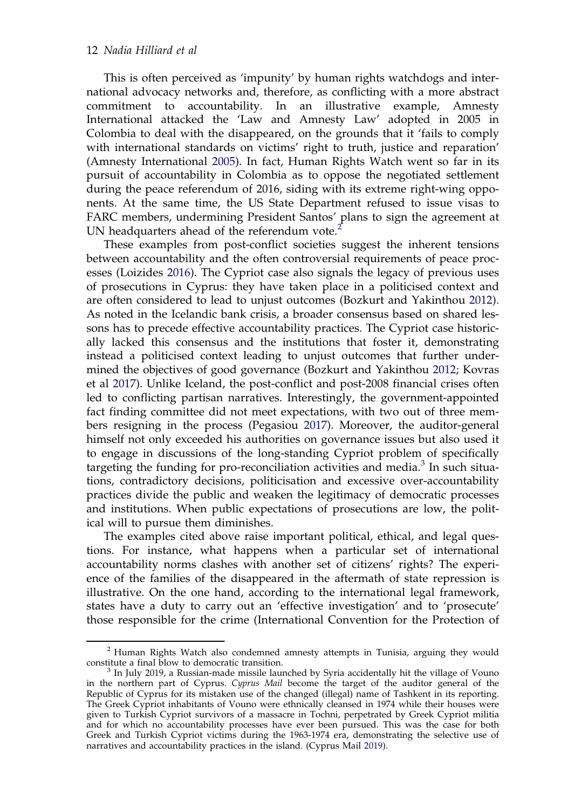<span id="page-12-0"></span>This is often perceived as 'impunity' by human rights watchdogs and international advocacy networks and, therefore, as conflicting with a more abstract commitment to accountability. In an illustrative example, Amnesty International attacked the 'Law and Amnesty Law' adopted in 2005 in Colombia to deal with the disappeared, on the grounds that it 'fails to comply with international standards on victims' right to truth, justice and reparation' (Amnesty International [2005](#page-18-0)). In fact, Human Rights Watch went so far in its pursuit of accountability in Colombia as to oppose the negotiated settlement during the peace referendum of 2016, siding with its extreme right-wing opponents. At the same time, the US State Department refused to issue visas to FARC members, undermining President Santos' plans to sign the agreement at UN headquarters ahead of the referendum vote.<sup>2</sup>

These examples from post-conflict societies suggest the inherent tensions between accountability and the often controversial requirements of peace processes (Loizides [2016](#page-19-0)). The Cypriot case also signals the legacy of previous uses of prosecutions in Cyprus: they have taken place in a politicised context and are often considered to lead to unjust outcomes (Bozkurt and Yakinthou [2012\)](#page-18-0). As noted in the Icelandic bank crisis, a broader consensus based on shared lessons has to precede effective accountability practices. The Cypriot case historically lacked this consensus and the institutions that foster it, demonstrating instead a politicised context leading to unjust outcomes that further undermined the objectives of good governance (Bozkurt and Yakinthou [2012](#page-18-0); Kovras et al [2017](#page-19-0)). Unlike Iceland, the post-conflict and post-2008 financial crises often led to conflicting partisan narratives. Interestingly, the government-appointed fact finding committee did not meet expectations, with two out of three members resigning in the process (Pegasiou [2017](#page-19-0)). Moreover, the auditor-general himself not only exceeded his authorities on governance issues but also used it to engage in discussions of the long-standing Cypriot problem of specifically targeting the funding for pro-reconciliation activities and media. $3$  In such situations, contradictory decisions, politicisation and excessive over-accountability practices divide the public and weaken the legitimacy of democratic processes and institutions. When public expectations of prosecutions are low, the political will to pursue them diminishes.

The examples cited above raise important political, ethical, and legal questions. For instance, what happens when a particular set of international accountability norms clashes with another set of citizens' rights? The experience of the families of the disappeared in the aftermath of state repression is illustrative. On the one hand, according to the international legal framework, states have a duty to carry out an 'effective investigation' and to 'prosecute' those responsible for the crime (International Convention for the Protection of

 $2$  Human Rights Watch also condemned amnesty attempts in Tunisia, arguing they would constitute a final blow to democratic transition.

 $3$  In July 2019, a Russian-made missile launched by Syria accidentally hit the village of Vouno in the northern part of Cyprus. Cyprus Mail become the target of the auditor general of the Republic of Cyprus for its mistaken use of the changed (illegal) name of Tashkent in its reporting. The Greek Cypriot inhabitants of Vouno were ethnically cleansed in 1974 while their houses were given to Turkish Cypriot survivors of a massacre in Tochni, perpetrated by Greek Cypriot militia and for which no accountability processes have ever been pursued. This was the case for both Greek and Turkish Cypriot victims during the 1963-1974 era, demonstrating the selective use of narratives and accountability practices in the island. (Cyprus Mail [2019](#page-18-0)).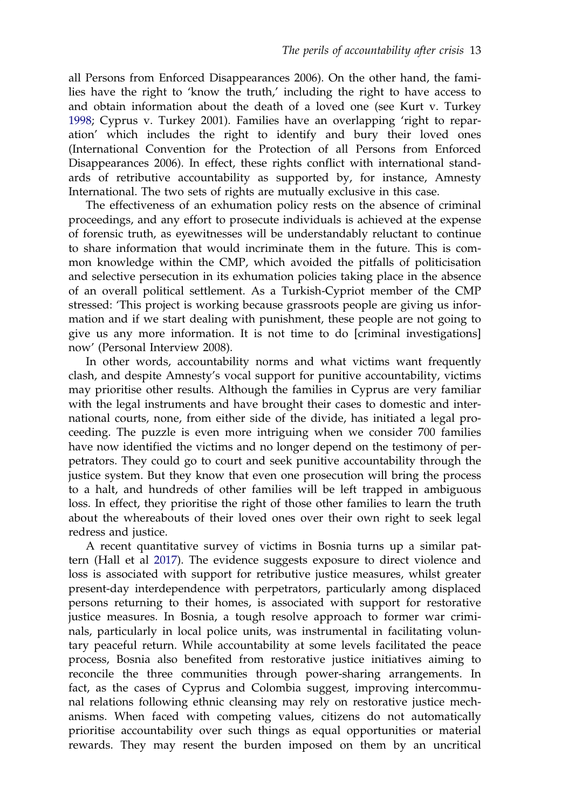<span id="page-13-0"></span>all Persons from Enforced Disappearances 2006). On the other hand, the families have the right to 'know the truth,' including the right to have access to and obtain information about the death of a loved one (see Kurt v. Turkey [1998;](#page-19-0) Cyprus v. Turkey 2001). Families have an overlapping 'right to reparation' which includes the right to identify and bury their loved ones (International Convention for the Protection of all Persons from Enforced Disappearances 2006). In effect, these rights conflict with international standards of retributive accountability as supported by, for instance, Amnesty International. The two sets of rights are mutually exclusive in this case.

The effectiveness of an exhumation policy rests on the absence of criminal proceedings, and any effort to prosecute individuals is achieved at the expense of forensic truth, as eyewitnesses will be understandably reluctant to continue to share information that would incriminate them in the future. This is common knowledge within the CMP, which avoided the pitfalls of politicisation and selective persecution in its exhumation policies taking place in the absence of an overall political settlement. As a Turkish-Cypriot member of the CMP stressed: 'This project is working because grassroots people are giving us information and if we start dealing with punishment, these people are not going to give us any more information. It is not time to do [criminal investigations] now' (Personal Interview 2008).

In other words, accountability norms and what victims want frequently clash, and despite Amnesty's vocal support for punitive accountability, victims may prioritise other results. Although the families in Cyprus are very familiar with the legal instruments and have brought their cases to domestic and international courts, none, from either side of the divide, has initiated a legal proceeding. The puzzle is even more intriguing when we consider 700 families have now identified the victims and no longer depend on the testimony of perpetrators. They could go to court and seek punitive accountability through the justice system. But they know that even one prosecution will bring the process to a halt, and hundreds of other families will be left trapped in ambiguous loss. In effect, they prioritise the right of those other families to learn the truth about the whereabouts of their loved ones over their own right to seek legal redress and justice.

A recent quantitative survey of victims in Bosnia turns up a similar pattern (Hall et al [2017\)](#page-18-0). The evidence suggests exposure to direct violence and loss is associated with support for retributive justice measures, whilst greater present-day interdependence with perpetrators, particularly among displaced persons returning to their homes, is associated with support for restorative justice measures. In Bosnia, a tough resolve approach to former war criminals, particularly in local police units, was instrumental in facilitating voluntary peaceful return. While accountability at some levels facilitated the peace process, Bosnia also benefited from restorative justice initiatives aiming to reconcile the three communities through power-sharing arrangements. In fact, as the cases of Cyprus and Colombia suggest, improving intercommunal relations following ethnic cleansing may rely on restorative justice mechanisms. When faced with competing values, citizens do not automatically prioritise accountability over such things as equal opportunities or material rewards. They may resent the burden imposed on them by an uncritical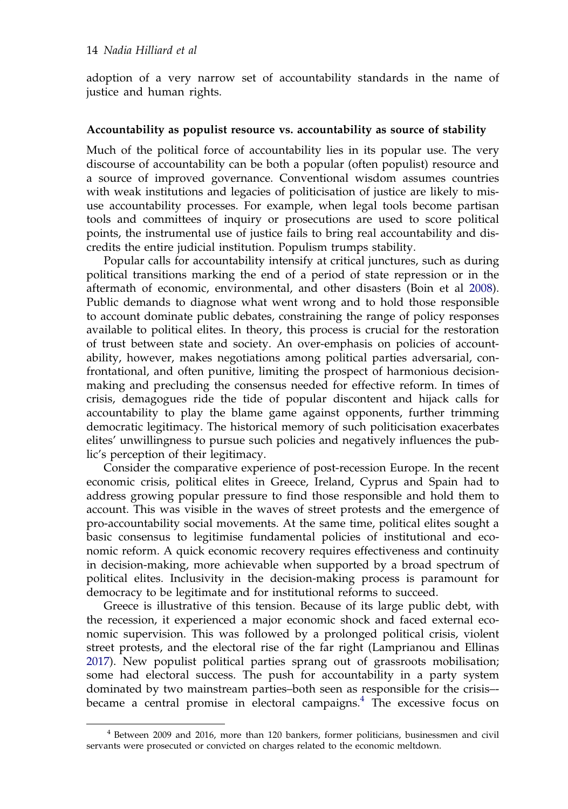<span id="page-14-0"></span>adoption of a very narrow set of accountability standards in the name of justice and human rights.

#### Accountability as populist resource vs. accountability as source of stability

Much of the political force of accountability lies in its popular use. The very discourse of accountability can be both a popular (often populist) resource and a source of improved governance. Conventional wisdom assumes countries with weak institutions and legacies of politicisation of justice are likely to misuse accountability processes. For example, when legal tools become partisan tools and committees of inquiry or prosecutions are used to score political points, the instrumental use of justice fails to bring real accountability and discredits the entire judicial institution. Populism trumps stability.

Popular calls for accountability intensify at critical junctures, such as during political transitions marking the end of a period of state repression or in the aftermath of economic, environmental, and other disasters (Boin et al [2008\)](#page-18-0). Public demands to diagnose what went wrong and to hold those responsible to account dominate public debates, constraining the range of policy responses available to political elites. In theory, this process is crucial for the restoration of trust between state and society. An over-emphasis on policies of accountability, however, makes negotiations among political parties adversarial, confrontational, and often punitive, limiting the prospect of harmonious decisionmaking and precluding the consensus needed for effective reform. In times of crisis, demagogues ride the tide of popular discontent and hijack calls for accountability to play the blame game against opponents, further trimming democratic legitimacy. The historical memory of such politicisation exacerbates elites' unwillingness to pursue such policies and negatively influences the public's perception of their legitimacy.

Consider the comparative experience of post-recession Europe. In the recent economic crisis, political elites in Greece, Ireland, Cyprus and Spain had to address growing popular pressure to find those responsible and hold them to account. This was visible in the waves of street protests and the emergence of pro-accountability social movements. At the same time, political elites sought a basic consensus to legitimise fundamental policies of institutional and economic reform. A quick economic recovery requires effectiveness and continuity in decision-making, more achievable when supported by a broad spectrum of political elites. Inclusivity in the decision-making process is paramount for democracy to be legitimate and for institutional reforms to succeed.

Greece is illustrative of this tension. Because of its large public debt, with the recession, it experienced a major economic shock and faced external economic supervision. This was followed by a prolonged political crisis, violent street protests, and the electoral rise of the far right (Lamprianou and Ellinas [2017](#page-19-0)). New populist political parties sprang out of grassroots mobilisation; some had electoral success. The push for accountability in a party system dominated by two mainstream parties–both seen as responsible for the crisis– became a central promise in electoral campaigns. $4$  The excessive focus on

<sup>4</sup> Between 2009 and 2016, more than 120 bankers, former politicians, businessmen and civil servants were prosecuted or convicted on charges related to the economic meltdown.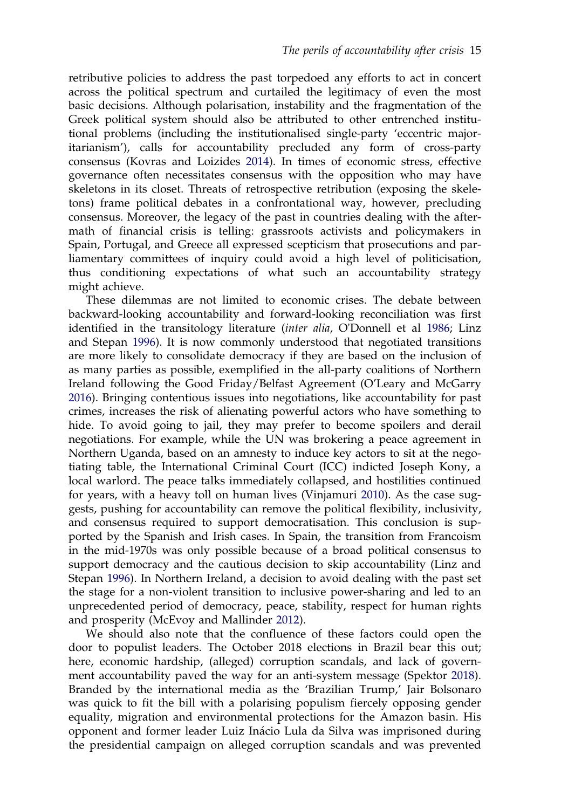<span id="page-15-0"></span>retributive policies to address the past torpedoed any efforts to act in concert across the political spectrum and curtailed the legitimacy of even the most basic decisions. Although polarisation, instability and the fragmentation of the Greek political system should also be attributed to other entrenched institutional problems (including the institutionalised single-party 'eccentric majoritarianism'), calls for accountability precluded any form of cross-party consensus (Kovras and Loizides [2014\)](#page-19-0). In times of economic stress, effective governance often necessitates consensus with the opposition who may have skeletons in its closet. Threats of retrospective retribution (exposing the skeletons) frame political debates in a confrontational way, however, precluding consensus. Moreover, the legacy of the past in countries dealing with the aftermath of financial crisis is telling: grassroots activists and policymakers in Spain, Portugal, and Greece all expressed scepticism that prosecutions and parliamentary committees of inquiry could avoid a high level of politicisation, thus conditioning expectations of what such an accountability strategy might achieve.

These dilemmas are not limited to economic crises. The debate between backward-looking accountability and forward-looking reconciliation was first identified in the transitology literature (inter alia, O'Donnell et al [1986;](#page-19-0) Linz and Stepan [1996](#page-19-0)). It is now commonly understood that negotiated transitions are more likely to consolidate democracy if they are based on the inclusion of as many parties as possible, exemplified in the all-party coalitions of Northern Ireland following the Good Friday/Belfast Agreement (O'Leary and McGarry [2016\)](#page-19-0). Bringing contentious issues into negotiations, like accountability for past crimes, increases the risk of alienating powerful actors who have something to hide. To avoid going to jail, they may prefer to become spoilers and derail negotiations. For example, while the UN was brokering a peace agreement in Northern Uganda, based on an amnesty to induce key actors to sit at the negotiating table, the International Criminal Court (ICC) indicted Joseph Kony, a local warlord. The peace talks immediately collapsed, and hostilities continued for years, with a heavy toll on human lives (Vinjamuri [2010\)](#page-20-0). As the case suggests, pushing for accountability can remove the political flexibility, inclusivity, and consensus required to support democratisation. This conclusion is supported by the Spanish and Irish cases. In Spain, the transition from Francoism in the mid-1970s was only possible because of a broad political consensus to support democracy and the cautious decision to skip accountability (Linz and Stepan [1996](#page-19-0)). In Northern Ireland, a decision to avoid dealing with the past set the stage for a non-violent transition to inclusive power-sharing and led to an unprecedented period of democracy, peace, stability, respect for human rights and prosperity (McEvoy and Mallinder [2012](#page-19-0)).

We should also note that the confluence of these factors could open the door to populist leaders. The October 2018 elections in Brazil bear this out; here, economic hardship, (alleged) corruption scandals, and lack of government accountability paved the way for an anti-system message (Spektor [2018](#page-20-0)). Branded by the international media as the 'Brazilian Trump,' Jair Bolsonaro was quick to fit the bill with a polarising populism fiercely opposing gender equality, migration and environmental protections for the Amazon basin. His opponent and former leader Luiz Inácio Lula da Silva was imprisoned during the presidential campaign on alleged corruption scandals and was prevented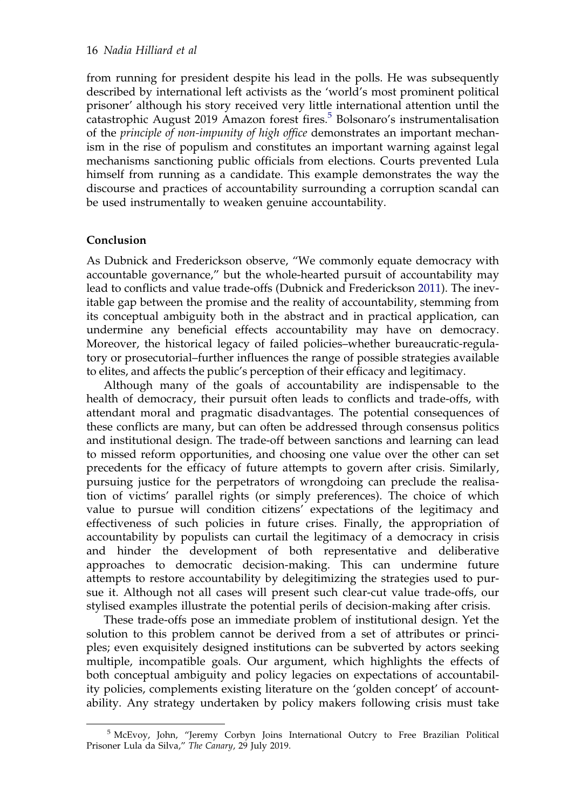<span id="page-16-0"></span>from running for president despite his lead in the polls. He was subsequently described by international left activists as the 'world's most prominent political prisoner' although his story received very little international attention until the catastrophic August 2019 Amazon forest fires.<sup>5</sup> Bolsonaro's instrumentalisation of the principle of non-impunity of high office demonstrates an important mechanism in the rise of populism and constitutes an important warning against legal mechanisms sanctioning public officials from elections. Courts prevented Lula himself from running as a candidate. This example demonstrates the way the discourse and practices of accountability surrounding a corruption scandal can be used instrumentally to weaken genuine accountability.

## Conclusion

As Dubnick and Frederickson observe, "We commonly equate democracy with accountable governance," but the whole-hearted pursuit of accountability may lead to conflicts and value trade-offs (Dubnick and Frederickson [2011](#page-18-0)). The inevitable gap between the promise and the reality of accountability, stemming from its conceptual ambiguity both in the abstract and in practical application, can undermine any beneficial effects accountability may have on democracy. Moreover, the historical legacy of failed policies–whether bureaucratic-regulatory or prosecutorial–further influences the range of possible strategies available to elites, and affects the public's perception of their efficacy and legitimacy.

Although many of the goals of accountability are indispensable to the health of democracy, their pursuit often leads to conflicts and trade-offs, with attendant moral and pragmatic disadvantages. The potential consequences of these conflicts are many, but can often be addressed through consensus politics and institutional design. The trade-off between sanctions and learning can lead to missed reform opportunities, and choosing one value over the other can set precedents for the efficacy of future attempts to govern after crisis. Similarly, pursuing justice for the perpetrators of wrongdoing can preclude the realisation of victims' parallel rights (or simply preferences). The choice of which value to pursue will condition citizens' expectations of the legitimacy and effectiveness of such policies in future crises. Finally, the appropriation of accountability by populists can curtail the legitimacy of a democracy in crisis and hinder the development of both representative and deliberative approaches to democratic decision-making. This can undermine future attempts to restore accountability by delegitimizing the strategies used to pursue it. Although not all cases will present such clear-cut value trade-offs, our stylised examples illustrate the potential perils of decision-making after crisis.

These trade-offs pose an immediate problem of institutional design. Yet the solution to this problem cannot be derived from a set of attributes or principles; even exquisitely designed institutions can be subverted by actors seeking multiple, incompatible goals. Our argument, which highlights the effects of both conceptual ambiguity and policy legacies on expectations of accountability policies, complements existing literature on the 'golden concept' of accountability. Any strategy undertaken by policy makers following crisis must take

<sup>5</sup> McEvoy, John, "Jeremy Corbyn Joins International Outcry to Free Brazilian Political Prisoner Lula da Silva," The Canary, 29 July 2019.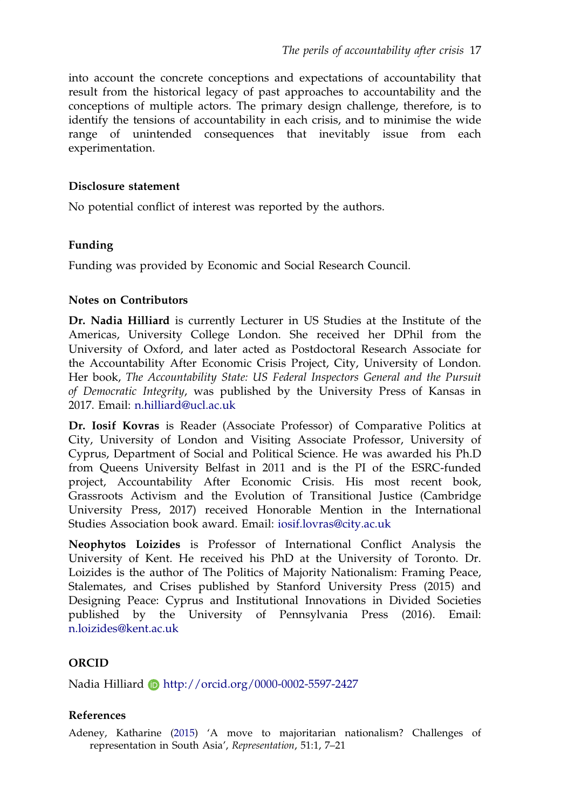<span id="page-17-0"></span>into account the concrete conceptions and expectations of accountability that result from the historical legacy of past approaches to accountability and the conceptions of multiple actors. The primary design challenge, therefore, is to identify the tensions of accountability in each crisis, and to minimise the wide range of unintended consequences that inevitably issue from each experimentation.

### Disclosure statement

No potential conflict of interest was reported by the authors.

## Funding

Funding was provided by Economic and Social Research Council.

## Notes on Contributors

Dr. Nadia Hilliard is currently Lecturer in US Studies at the Institute of the Americas, University College London. She received her DPhil from the University of Oxford, and later acted as Postdoctoral Research Associate for the Accountability After Economic Crisis Project, City, University of London. Her book, The Accountability State: US Federal Inspectors General and the Pursuit of Democratic Integrity, was published by the University Press of Kansas in 2017. Email: n.hilliard@ucl.ac.uk

Dr. Iosif Kovras is Reader (Associate Professor) of Comparative Politics at City, University of London and Visiting Associate Professor, University of Cyprus, Department of Social and Political Science. He was awarded his Ph.D from Queens University Belfast in 2011 and is the PI of the ESRC-funded project, Accountability After Economic Crisis. His most recent book, Grassroots Activism and the Evolution of Transitional Justice (Cambridge University Press, 2017) received Honorable Mention in the International Studies Association book award. Email: iosif.lovras@city.ac.uk

Neophytos Loizides is Professor of International Conflict Analysis the University of Kent. He received his PhD at the University of Toronto. Dr. Loizides is the author of The Politics of Majority Nationalism: Framing Peace, Stalemates, and Crises published by Stanford University Press (2015) and Designing Peace: Cyprus and Institutional Innovations in Divided Societies published by the University of Pennsylvania Press (2016). Email: n.loizides@kent.ac.uk

## ORCID

Nadia Hilliard **b** http://orcid.org/0000-0002-5597-2427

## References

Adeney, Katharine [\(2015](#page-9-0)) 'A move to majoritarian nationalism? Challenges of representation in South Asia', Representation, 51:1, 7–21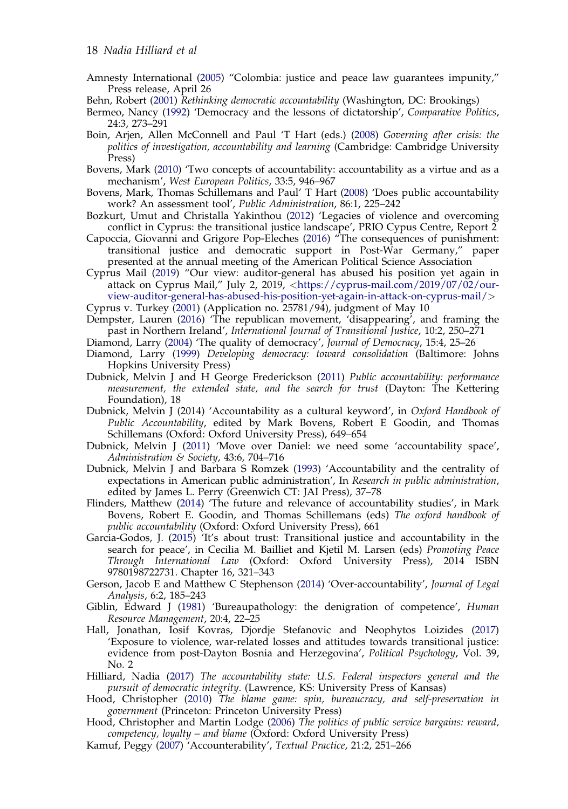- <span id="page-18-0"></span>Amnesty International ([2005\)](#page-12-0) "Colombia: justice and peace law guarantees impunity," Press release, April 26
- Behn, Robert [\(2001](#page-2-0)) Rethinking democratic accountability (Washington, DC: Brookings)
- Bermeo, Nancy [\(1992](#page-8-0)) 'Democracy and the lessons of dictatorship', Comparative Politics, 24:3, 273–291
- Boin, Arjen, Allen McConnell and Paul 'T Hart (eds.) [\(2008\)](#page-14-0) Governing after crisis: the politics of investigation, accountability and learning (Cambridge: Cambridge University Press)
- Bovens, Mark ([2010\)](#page-2-0) 'Two concepts of accountability: accountability as a virtue and as a mechanism', West European Politics, 33:5, 946–967
- Bovens, Mark, Thomas Schillemans and Paul' T Hart ([2008\)](#page-1-0) 'Does public accountability work? An assessment tool', Public Administration, 86:1, 225–242
- Bozkurt, Umut and Christalla Yakinthou ([2012\)](#page-12-0) 'Legacies of violence and overcoming conflict in Cyprus: the transitional justice landscape', PRIO Cypus Centre, Report 2
- Capoccia, Giovanni and Grigore Pop-Eleches [\(2016](#page-6-0)) "The consequences of punishment: transitional justice and democratic support in Post-War Germany," paper presented at the annual meeting of the American Political Science Association
- Cyprus Mail ([2019](#page-12-0)) "Our view: auditor-general has abused his position yet again in attack on Cyprus Mail," July 2, 2019, <[https://cyprus-mail.com/2019/07/02/our](https://cyprus-mail.com/2019/07/02/our-view-auditor-general-has-abused-his-position-yet-again-in-attack-on-cyprus-mail/)[view-auditor-general-has-abused-his-position-yet-again-in-attack-on-cyprus-mail/](https://cyprus-mail.com/2019/07/02/our-view-auditor-general-has-abused-his-position-yet-again-in-attack-on-cyprus-mail/)>
- Cyprus v. Turkey (2001) (Application no. 25781/94), judgment of May 10
- Dempster, Lauren [\(2016](#page-11-0)) 'The republican movement, 'disappearing', and framing the past in Northern Ireland', International Journal of Transitional Justice, 10:2, 250–271
- Diamond, Larry [\(2004](#page-3-0)) 'The quality of democracy', Journal of Democracy, 15:4, 25–26
- Diamond, Larry ([1999\)](#page-8-0) Developing democracy: toward consolidation (Baltimore: Johns Hopkins University Press)
- Dubnick, Melvin J and H George Frederickson ([2011\)](#page-16-0) Public accountability: performance measurement, the extended state, and the search for trust (Dayton: The Kettering Foundation), 18
- Dubnick, Melvin J (2014) 'Accountability as a cultural keyword', in Oxford Handbook of Public Accountability, edited by Mark Bovens, Robert E Goodin, and Thomas Schillemans (Oxford: Oxford University Press), 649–654
- Dubnick, Melvin J ([2011\)](#page-1-0) 'Move over Daniel: we need some 'accountability space', Administration & Society, 43:6, 704–716
- Dubnick, Melvin J and Barbara S Romzek ([1993\)](#page-2-0) 'Accountability and the centrality of expectations in American public administration', In Research in public administration, edited by James L. Perry (Greenwich CT: JAI Press), 37–78
- Flinders, Matthew ([2014\)](#page-1-0) 'The future and relevance of accountability studies', in Mark Bovens, Robert E. Goodin, and Thomas Schillemans (eds) The oxford handbook of public accountability (Oxford: Oxford University Press), 661
- Garcia-Godos, J. (2015) 'It's about trust: Transitional justice and accountability in the search for peace', in Cecilia M. Bailliet and Kjetil M. Larsen (eds) Promoting Peace Through International Law (Oxford: Oxford University Press), 2014 ISBN 9780198722731. Chapter 16, 321–343
- Gerson, Jacob E and Matthew C Stephenson ([2014\)](#page-2-0) 'Over-accountability', Journal of Legal Analysis, 6:2, 185–243
- Giblin, Edward J [\(1981](#page-4-0)) 'Bureaupathology: the denigration of competence', Human Resource Management, 20:4, 22–25
- Hall, Jonathan, Iosif Kovras, Djordje Stefanovic and Neophytos Loizides ([2017\)](#page-11-0) 'Exposure to violence, war-related losses and attitudes towards transitional justice: evidence from post-Dayton Bosnia and Herzegovina', Political Psychology, Vol. 39, No. 2
- Hilliard, Nadia ([2017\)](#page-8-0) The accountability state: U.S. Federal inspectors general and the pursuit of democratic integrity. (Lawrence, KS: University Press of Kansas)
- Hood, Christopher [\(2010](#page-4-0)) The blame game: spin, bureaucracy, and self-preservation in government (Princeton: Princeton University Press)
- Hood, Christopher and Martin Lodge [\(2006](#page-4-0)) The politics of public service bargains: reward, competency, loyalty – and blame (Oxford: Oxford University Press)
- Kamuf, Peggy ([2007\)](#page-5-0) 'Accounterability', Textual Practice, 21:2, 251–266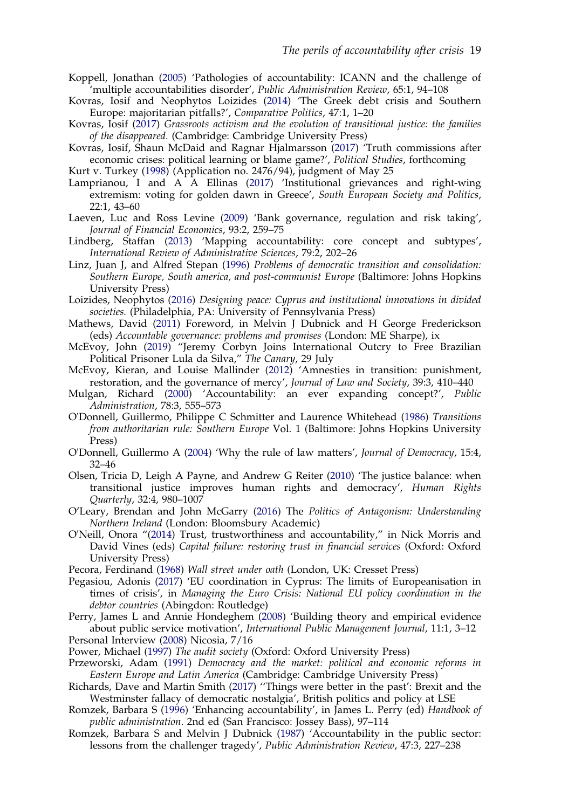- <span id="page-19-0"></span>Koppell, Jonathan [\(2005](#page-4-0)) 'Pathologies of accountability: ICANN and the challenge of 'multiple accountabilities disorder', Public Administration Review, 65:1, 94–108
- Kovras, Iosif and Neophytos Loizides ([2014\)](#page-15-0) 'The Greek debt crisis and Southern Europe: majoritarian pitfalls?', Comparative Politics, 47:1, 1–20
- Kovras, Iosif ([2017\)](#page-11-0) Grassroots activism and the evolution of transitional justice: the families of the disappeared. (Cambridge: Cambridge University Press)
- Kovras, Iosif, Shaun McDaid and Ragnar Hjalmarsson ([2017\)](#page-9-0) 'Truth commissions after economic crises: political learning or blame game?', Political Studies, forthcoming

Kurt v. Turkey [\(1998](#page-13-0)) (Application no. 2476/94), judgment of May 25

- Lamprianou, I and A A Ellinas ([2017\)](#page-14-0) 'Institutional grievances and right-wing extremism: voting for golden dawn in Greece', South European Society and Politics, 22:1, 43–60
- Laeven, Luc and Ross Levine ([2009\)](#page-10-0) 'Bank governance, regulation and risk taking', Journal of Financial Economics, 93:2, 259–75
- Lindberg, Staffan [\(2013](#page-3-0)) 'Mapping accountability: core concept and subtypes', International Review of Administrative Sciences, 79:2, 202–26
- Linz, Juan J, and Alfred Stepan [\(1996](#page-15-0)) Problems of democratic transition and consolidation: Southern Europe, South america, and post-communist Europe (Baltimore: Johns Hopkins University Press)
- Loizides, Neophytos ([2016\)](#page-11-0) Designing peace: Cyprus and institutional innovations in divided societies. (Philadelphia, PA: University of Pennsylvania Press)
- Mathews, David ([2011\)](#page-6-0) Foreword, in Melvin J Dubnick and H George Frederickson (eds) Accountable governance: problems and promises (London: ME Sharpe), ix
- McEvoy, John (2019) "Jeremy Corbyn Joins International Outcry to Free Brazilian Political Prisoner Lula da Silva," The Canary, 29 July
- McEvoy, Kieran, and Louise Mallinder [\(2012](#page-15-0)) 'Amnesties in transition: punishment, restoration, and the governance of mercy', Journal of Law and Society, 39:3, 410-440
- Mulgan, Richard ([2000\)](#page-2-0) 'Accountability: an ever expanding concept?', Public Administration, 78:3, 555–573
- O'Donnell, Guillermo, Philippe C Schmitter and Laurence Whitehead [\(1986\)](#page-15-0) Transitions from authoritarian rule: Southern Europe Vol. 1 (Baltimore: Johns Hopkins University Press)
- O'Donnell, Guillermo A [\(2004](#page-8-0)) 'Why the rule of law matters', Journal of Democracy, 15:4, 32–46
- Olsen, Tricia D, Leigh A Payne, and Andrew G Reiter ([2010\)](#page-8-0) 'The justice balance: when transitional justice improves human rights and democracy', Human Rights Quarterly, 32:4, 980–1007
- O'Leary, Brendan and John McGarry [\(2016](#page-15-0)) The Politics of Antagonism: Understanding Northern Ireland (London: Bloomsbury Academic)
- O'Neill, Onora "[\(2014](#page-2-0)) Trust, trustworthiness and accountability," in Nick Morris and David Vines (eds) Capital failure: restoring trust in financial services (Oxford: Oxford University Press)
- Pecora, Ferdinand ([1968\)](#page-8-0) Wall street under oath (London, UK: Cresset Press)
- Pegasiou, Adonis ([2017\)](#page-12-0) 'EU coordination in Cyprus: The limits of Europeanisation in times of crisis', in Managing the Euro Crisis: National EU policy coordination in the debtor countries (Abingdon: Routledge)
- Perry, James L and Annie Hondeghem [\(2008](#page-4-0)) 'Building theory and empirical evidence about public service motivation', International Public Management Journal, 11:1, 3–12 Personal Interview (2008) Nicosia, 7/16
- Power, Michael [\(1997](#page-2-0)) The audit society (Oxford: Oxford University Press)
- Przeworski, Adam ([1991\)](#page-8-0) Democracy and the market: political and economic reforms in Eastern Europe and Latin America (Cambridge: Cambridge University Press)
- Richards, Dave and Martin Smith ([2017\)](#page-9-0) ''Things were better in the past': Brexit and the Westminster fallacy of democratic nostalgia', British politics and policy at LSE
- Romzek, Barbara S ([1996\)](#page-5-0) 'Enhancing accountability', in James L. Perry (ed) Handbook of public administration. 2nd ed (San Francisco: Jossey Bass), 97–114
- Romzek, Barbara S and Melvin J Dubnick ([1987\)](#page-4-0) 'Accountability in the public sector: lessons from the challenger tragedy', Public Administration Review, 47:3, 227–238